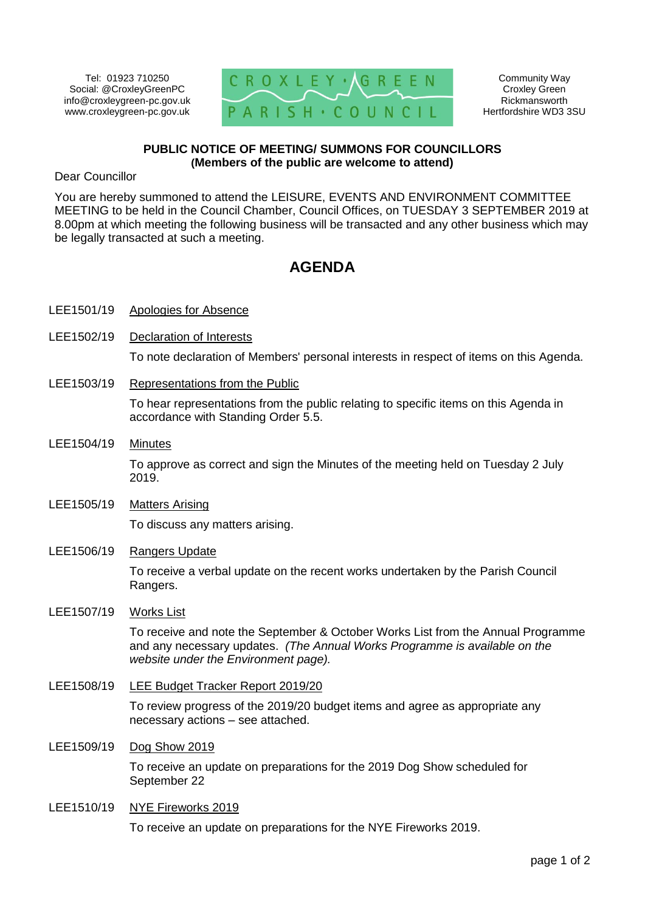Tel: 01923 710250 Social: @CroxleyGreenPC info@croxleygreen-pc.gov.uk www.croxleygreen-pc.gov.uk



Community Way Croxley Green Rickmansworth Hertfordshire WD3 3SU

## **PUBLIC NOTICE OF MEETING/ SUMMONS FOR COUNCILLORS (Members of the public are welcome to attend)**

Dear Councillor

You are hereby summoned to attend the LEISURE, EVENTS AND ENVIRONMENT COMMITTEE MEETING to be held in the Council Chamber, Council Offices, on TUESDAY 3 SEPTEMBER 2019 at 8.00pm at which meeting the following business will be transacted and any other business which may be legally transacted at such a meeting.

## **AGENDA**

- LEE1501/19 Apologies for Absence
- LEE1502/19 Declaration of Interests

To note declaration of Members' personal interests in respect of items on this Agenda.

LEE1503/19 Representations from the Public

To hear representations from the public relating to specific items on this Agenda in accordance with Standing Order 5.5.

- LEE1504/19 Minutes To approve as correct and sign the Minutes of the meeting held on Tuesday 2 July 2019.
- LEE1505/19 Matters Arising To discuss any matters arising.
- LEE1506/19 Rangers Update

To receive a verbal update on the recent works undertaken by the Parish Council Rangers.

LEE1507/19 Works List

To receive and note the September & October Works List from the Annual Programme and any necessary updates. *(The Annual Works Programme is available on the website under the Environment page).*

LEE1508/19 LEE Budget Tracker Report 2019/20

To review progress of the 2019/20 budget items and agree as appropriate any necessary actions – see attached.

## LEE1509/19 Dog Show 2019

To receive an update on preparations for the 2019 Dog Show scheduled for September 22

LEE1510/19 NYE Fireworks 2019

To receive an update on preparations for the NYE Fireworks 2019.